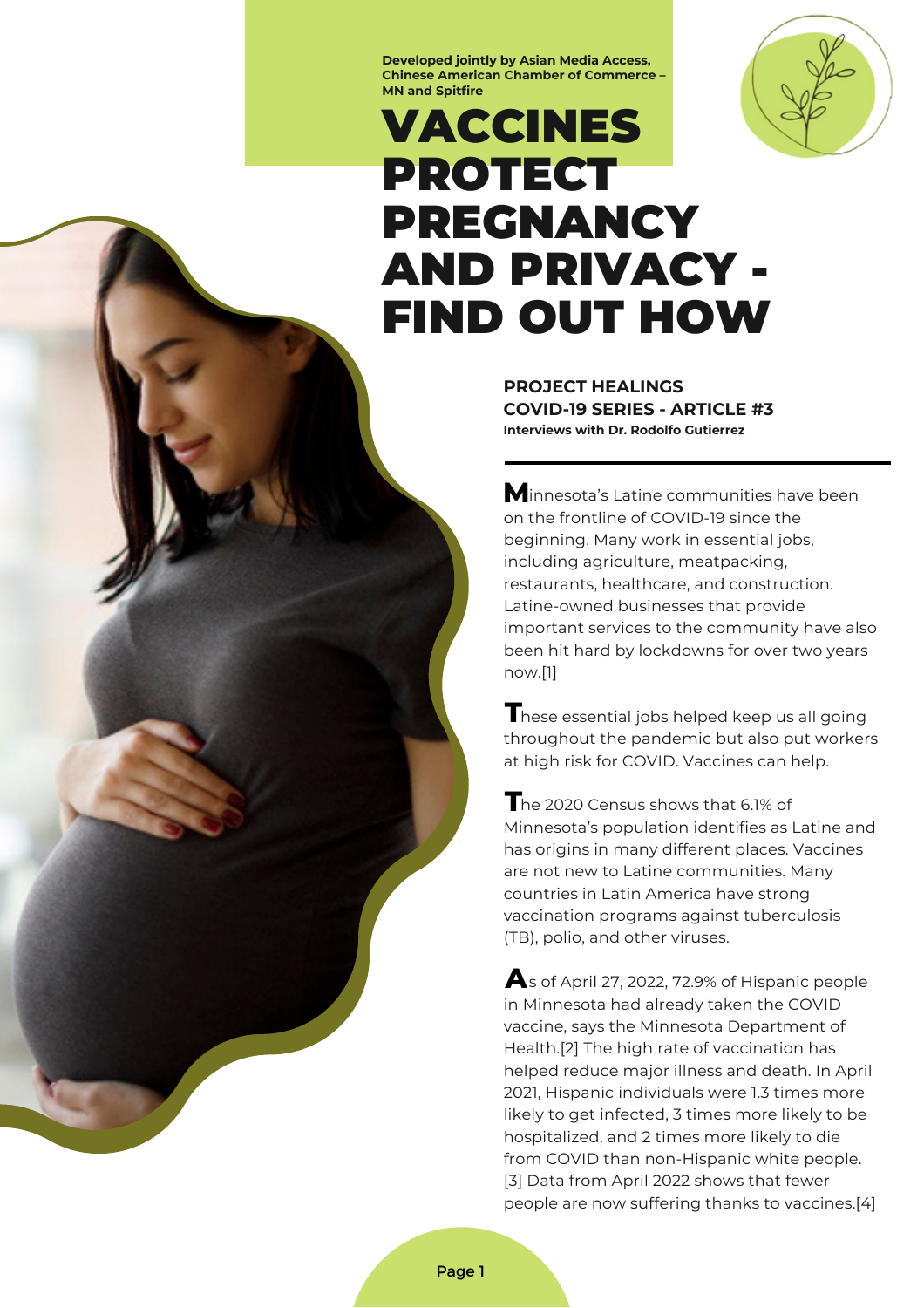**Developed jointly by Asian Media Access, Chinese American Chamber of Commerce – MN and Spitfire**



# VACCINES PROTECT PREGNANCY AND PRIVACY - FIND OUT HOW

**PROJECT HEALINGS COVID-19 SERIES - ARTICLE #3 Interviews with Dr. Rodolfo Gutierrez**

**M**innesota's Latine communities have been on the frontline of COVID-19 since the beginning. Many work in essential jobs, including agriculture, meatpacking, restaurants, healthcare, and construction. [Latine-owned](https://drive.google.com/file/d/1JjVYzvS2MjHbGkmcfhqr2qX-hqn9iDNQ/view) businesses that provide important services to the community have also been hit hard by lockdowns for over two years now.[1]

hese essential jobs helped keep us all going **T** throughout the pandemic but also put workers at high risk for COVID. Vaccines can help.

he 2020 Census shows that 6.1% of **T** Minnesota's population identifies as Latine and has origins in many different places. Vaccines are not new to Latine communities. Many countries in Latin America have strong vaccination programs against tuberculosis (TB), polio, and other viruses.

 $\blacktriangle$ s of April 27, 2022, 72.9% of Hispanic people in Minnesota had already taken the COVID vaccine, says the Minnesota [Department](https://mn.gov/covid19/vaccine/data/index.jsp) of Health.[2] The high rate of vaccination has helped reduce major illness and death. In April 2021, Hispanic [individuals](https://blog.bluecrossmn.com/our-communities/racial-inequities-faced-by-mn-latino-community-during-covid-19-pandemic-highlight-urgency-for-structural-changes/) were 1.3 times more likely to get infected, 3 times more likely to be hospitalized, and 2 times more likely to die from COVID than non-Hispanic white people. [3] Data from April [2022](https://www.health.state.mn.us/diseases/coronavirus/stats/covidweekly1722.pdf) shows that fewer people are now suffering thanks to vaccines.[4]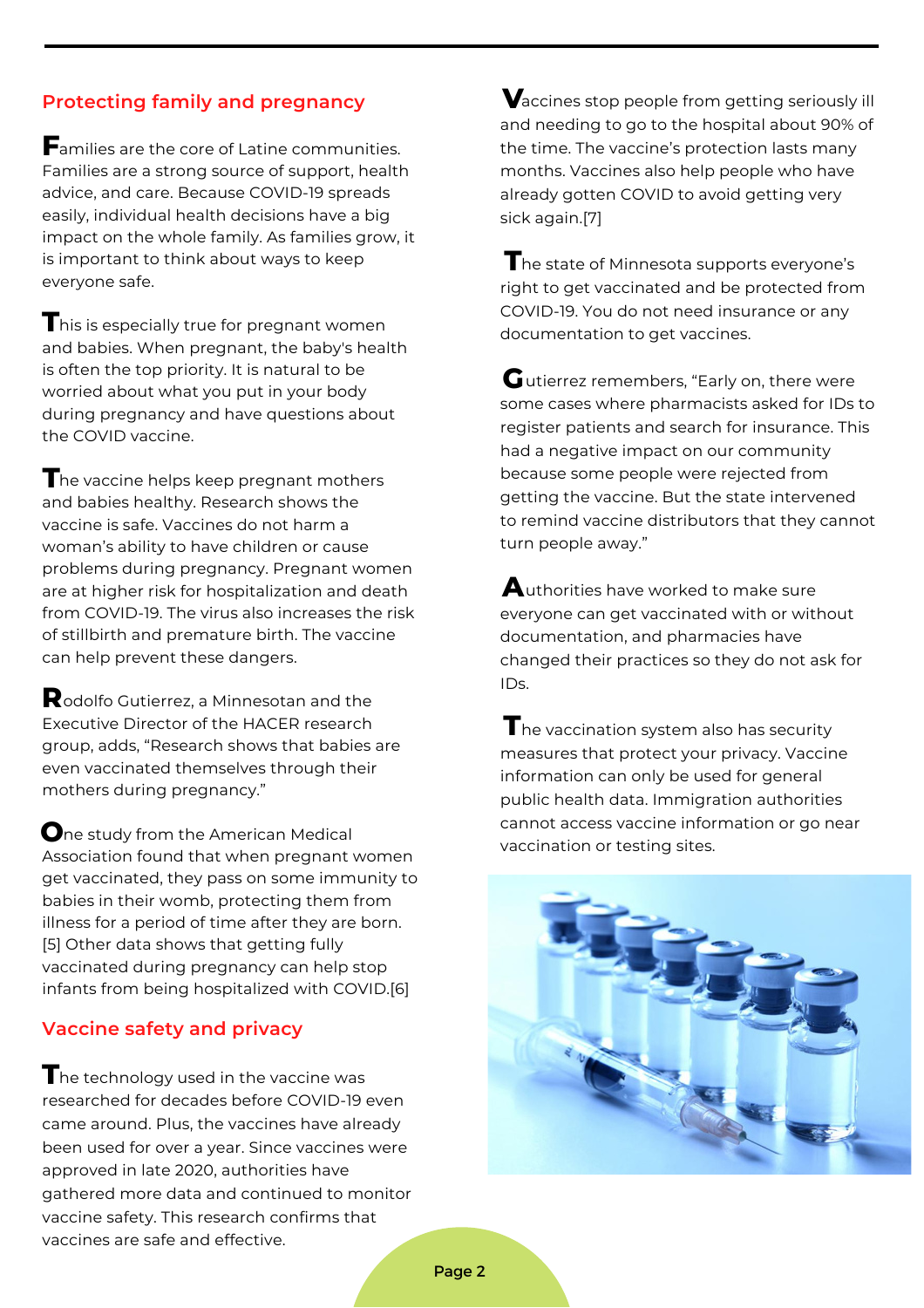# **Protecting family and pregnancy**

amilies are the core of Latine communities. **F** Families are a strong source of support, health advice, and care. Because COVID-19 spreads easily, individual health decisions have a big impact on the whole family. As families grow, it is important to think about ways to keep everyone safe.

 $\mathbf T$ his is especially true for pregnant women and babies. When pregnant, the baby's health is often the top priority. It is natural to be worried about what you put in your body during pregnancy and have questions about the COVID vaccine.

he vaccine helps keep pregnant mothers **T** and babies healthy. Research shows the vaccine is safe. Vaccines do not harm a woman's ability to have children or cause problems during pregnancy. Pregnant women are at higher risk for hospitalization and death from COVID-19. The virus also increases the risk of stillbirth and premature birth. The vaccine can help prevent these dangers.

odolfo Gutierrez, a Minnesotan and the **R** Executive Director of the [HACER](https://hacer-mn.org/staff) research group, adds, "Research shows that babies are even vaccinated themselves through their mothers during pregnancy."

**O**ne [study](https://jamanetwork.com/journals/jama/fullarticle/2788986) from the American Medical Association found that when pregnant women get vaccinated, they pass on some immunity to babies in their womb, protecting them from illness for a period of time after they are born. [5] Other [data](https://www.cdc.gov/mmwr/volumes/71/wr/mm7107e3.htm?s_cid=mm7107e3_w) shows that getting fully vaccinated during pregnancy can help stop infants from being hospitalized with COVID.[6]

## **Vaccine safety and privacy**

 $\mathbf T$ he technology used in the vaccine was researched for decades before COVID-19 even came around. Plus, the vaccines have already been used for over a year. Since vaccines were approved in late 2020, authorities have gathered more data and continued to monitor vaccine safety. This research confirms that vaccines are safe and effective.

 $\bigvee$ accines stop people from getting seriously ill and needing to go to the hospital about [90%](https://uncnews.unc.edu/2022/01/12/study-shows-covid-19-vaccines-offer-lasting-protection/) of the time. The vaccine's protection lasts many months. Vaccines also help people who have [already](https://med.stanford.edu/news/all-news/2022/03/covid-19-vaccines-prior-infection.html) gotten COVID to avoid getting very sick again.[7]

 $\mathbf T$ he state of Minnesota supports everyone's right to get vaccinated and be protected from COVID-19. You do not need insurance or any documentation to get vaccines.

 ${\mathbf G}$  utierrez remembers, "Early on, there were some cases where pharmacists asked for IDs to register patients and search for insurance. This had a negative impact on our community because some people were rejected from getting the vaccine. But the state intervened to remind vaccine distributors that they cannot turn people away."

 $\bigwedge$ uthorities have worked to make sure everyone can get vaccinated with or without documentation, and pharmacies have changed their practices so they do not ask for IDs.

 $\mathbf T$ he vaccination system also has security measures that protect your privacy. Vaccine [information](https://www.nilc.org/2021/04/12/immigrant-access-to-the-covid-19-vaccines/) can only be used for general public health data. [Immigration](https://www.dhs.gov/news/2021/02/01/dhs-statement-equal-access-covid-19-vaccines-and-vaccine-distribution-sites) authorities cannot access vaccine information or go near vaccination or testing sites.